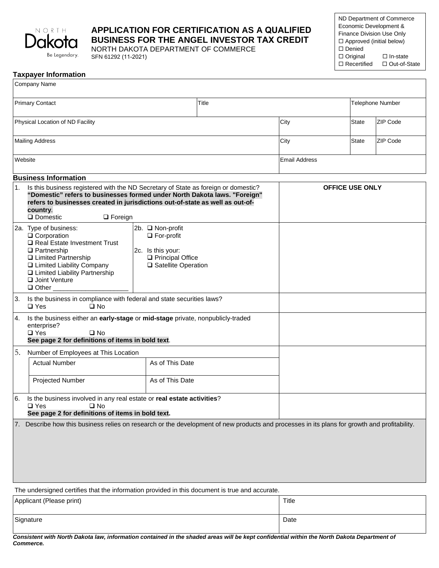

# **APPLICATION FOR CERTIFICATION AS A QUALIFIED BUSINESS FOR THE ANGEL INVESTOR TAX CREDIT**

NORTH DAKOTA DEPARTMENT OF COMMERCE SFN 61292 (11-2021)

| ND Department of Commerce       |                 |  |  |
|---------------------------------|-----------------|--|--|
| Economic Development &          |                 |  |  |
| Finance Division Use Only       |                 |  |  |
| $\Box$ Approved (initial below) |                 |  |  |
| $\Box$ Denied                   |                 |  |  |
| $\Box$ Original                 | $\Box$ In-state |  |  |
| $\Box$ Recertified              | □ Out-of-State  |  |  |
|                                 |                 |  |  |

|  | <b>Taxpayer Information</b> |
|--|-----------------------------|
|  |                             |

|                                                                                                                                                                                                                                                                                                  | Company Name                                                                                                                                                                                                             |                                                                                                         |      |                        |              |          |
|--------------------------------------------------------------------------------------------------------------------------------------------------------------------------------------------------------------------------------------------------------------------------------------------------|--------------------------------------------------------------------------------------------------------------------------------------------------------------------------------------------------------------------------|---------------------------------------------------------------------------------------------------------|------|------------------------|--------------|----------|
| <b>Primary Contact</b><br>Title                                                                                                                                                                                                                                                                  |                                                                                                                                                                                                                          |                                                                                                         |      | Telephone Number       |              |          |
| Physical Location of ND Facility                                                                                                                                                                                                                                                                 |                                                                                                                                                                                                                          |                                                                                                         | City | State                  | ZIP Code     |          |
|                                                                                                                                                                                                                                                                                                  | <b>Mailing Address</b>                                                                                                                                                                                                   |                                                                                                         |      | City                   | <b>State</b> | ZIP Code |
|                                                                                                                                                                                                                                                                                                  | Website                                                                                                                                                                                                                  |                                                                                                         |      | <b>Email Address</b>   |              |          |
|                                                                                                                                                                                                                                                                                                  | <b>Business Information</b>                                                                                                                                                                                              |                                                                                                         |      |                        |              |          |
| 1.<br>Is this business registered with the ND Secretary of State as foreign or domestic?<br>"Domestic" refers to businesses formed under North Dakota laws. "Foreign"<br>refers to businesses created in jurisdictions out-of-state as well as out-of-<br>country.<br>Domestic<br>$\Box$ Foreign |                                                                                                                                                                                                                          |                                                                                                         |      | <b>OFFICE USE ONLY</b> |              |          |
|                                                                                                                                                                                                                                                                                                  | 2a. Type of business:<br>□ Corporation<br>Real Estate Investment Trust<br>$\Box$ Partnership<br>□ Limited Partnership<br>□ Limited Liability Company<br>□ Limited Liability Partnership<br>Joint Venture<br>$\Box$ Other | 2b. □ Non-profit<br>$\Box$ For-profit<br>2c. Is this your:<br>Principal Office<br>□ Satellite Operation |      |                        |              |          |
| 3.                                                                                                                                                                                                                                                                                               | Is the business in compliance with federal and state securities laws?<br>$\square$ Yes<br>$\square$ No                                                                                                                   |                                                                                                         |      |                        |              |          |
| 4.<br>Is the business either an early-stage or mid-stage private, nonpublicly-traded<br>enterprise?<br>$\square$ Yes<br>$\square$ No<br>See page 2 for definitions of items in bold text.                                                                                                        |                                                                                                                                                                                                                          |                                                                                                         |      |                        |              |          |
| 5.<br>Number of Employees at This Location                                                                                                                                                                                                                                                       |                                                                                                                                                                                                                          |                                                                                                         |      |                        |              |          |
|                                                                                                                                                                                                                                                                                                  | <b>Actual Number</b>                                                                                                                                                                                                     | As of This Date                                                                                         |      |                        |              |          |
|                                                                                                                                                                                                                                                                                                  | Projected Number                                                                                                                                                                                                         | As of This Date                                                                                         |      |                        |              |          |
| 6.                                                                                                                                                                                                                                                                                               | Is the business involved in any real estate or real estate activities?<br>$\square$ Yes<br>$\square$ No<br>See page 2 for definitions of items in bold text.                                                             |                                                                                                         |      |                        |              |          |
| $\prime$ .                                                                                                                                                                                                                                                                                       | Describe how this business relies on research or the development of new products and processes in its plans for growth and profitability.                                                                                |                                                                                                         |      |                        |              |          |
|                                                                                                                                                                                                                                                                                                  | The undersigned certifies that the information provided in this document is true and accurate.                                                                                                                           |                                                                                                         |      |                        |              |          |

| Applicant (Please print) | Title |
|--------------------------|-------|
| Signature                | Date  |

*Consistent with North Dakota law, information contained in the shaded areas will be kept confidential within the North Dakota Department of Commerce.*